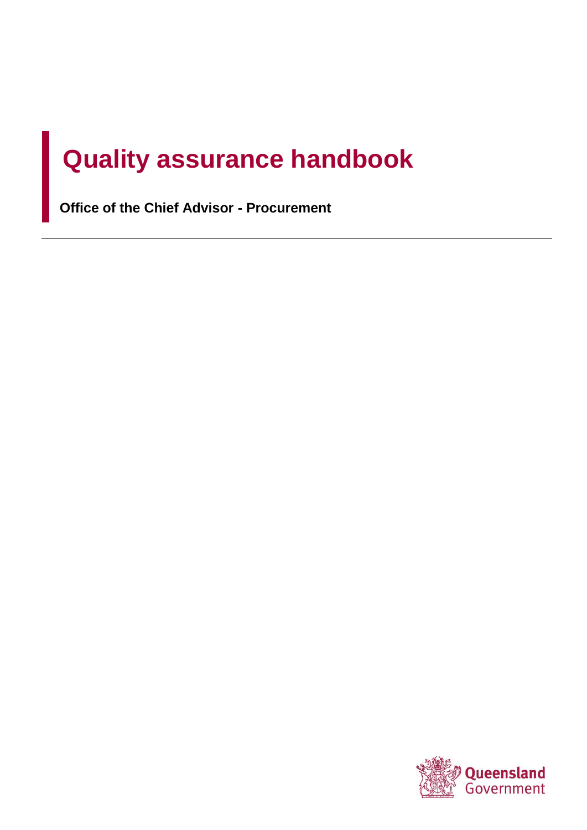# **Quality assurance handbook**

**Office of the Chief Advisor - Procurement**

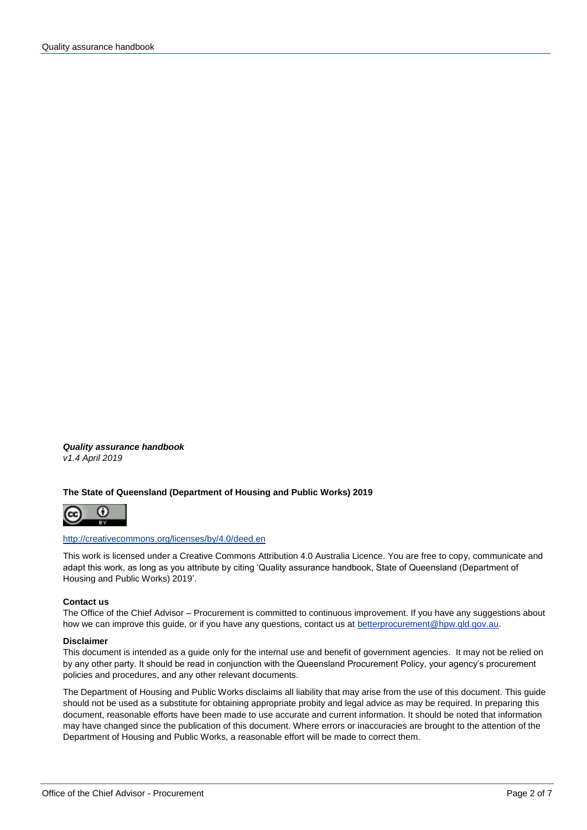*Quality assurance handbook v1.4 April 2019*

#### **The State of Queensland (Department of Housing and Public Works) 2019**



#### <http://creativecommons.org/licenses/by/4.0/deed.en>

This work is licensed under a Creative Commons Attribution 4.0 Australia Licence. You are free to copy, communicate and adapt this work, as long as you attribute by citing 'Quality assurance handbook, State of Queensland (Department of Housing and Public Works) 2019'.

#### **Contact us**

The Office of the Chief Advisor – Procurement is committed to continuous improvement. If you have any suggestions about how we can improve this guide, or if you have any questions, contact us at [betterprocurement@hpw.qld.gov.au.](mailto:betterprocurement@hpw.qld.gov.au)

#### **Disclaimer**

This document is intended as a guide only for the internal use and benefit of government agencies. It may not be relied on by any other party. It should be read in conjunction with the Queensland Procurement Policy, your agency's procurement policies and procedures, and any other relevant documents.

The Department of Housing and Public Works disclaims all liability that may arise from the use of this document. This guide should not be used as a substitute for obtaining appropriate probity and legal advice as may be required. In preparing this document, reasonable efforts have been made to use accurate and current information. It should be noted that information may have changed since the publication of this document. Where errors or inaccuracies are brought to the attention of the Department of Housing and Public Works, a reasonable effort will be made to correct them.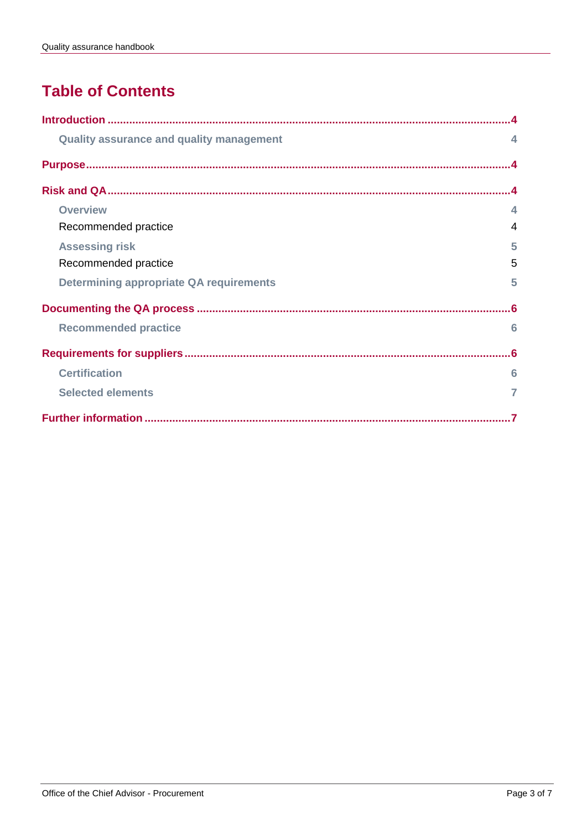# **Table of Contents**

| <b>Quality assurance and quality management</b> | $\blacktriangle$        |
|-------------------------------------------------|-------------------------|
|                                                 |                         |
|                                                 |                         |
| <b>Overview</b>                                 | $\overline{\mathbf{A}}$ |
| Recommended practice                            | $\overline{4}$          |
| <b>Assessing risk</b>                           | 5                       |
| Recommended practice                            | 5                       |
| <b>Determining appropriate QA requirements</b>  | 5                       |
|                                                 | .6                      |
| <b>Recommended practice</b>                     | 6                       |
|                                                 | . 6                     |
| <b>Certification</b>                            | 6                       |
| <b>Selected elements</b>                        | 7                       |
|                                                 |                         |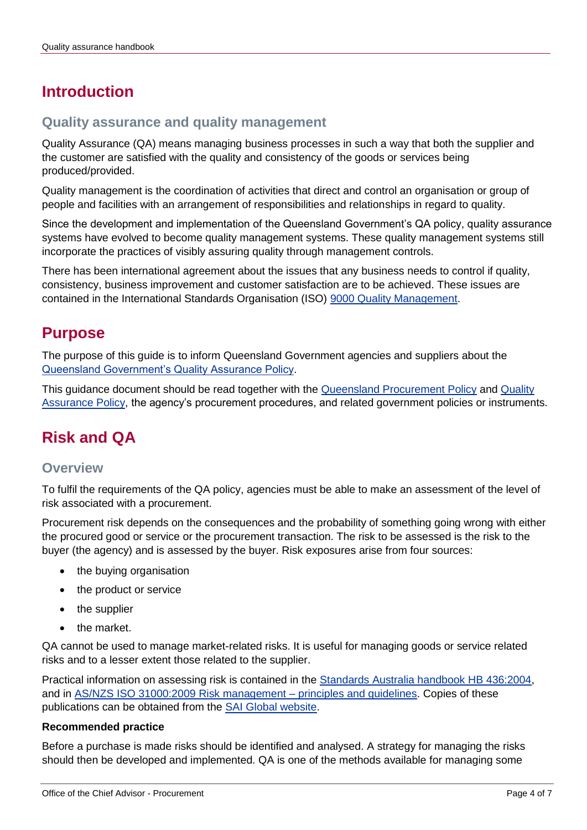# <span id="page-3-0"></span>**Introduction**

## <span id="page-3-1"></span>**Quality assurance and quality management**

Quality Assurance (QA) means managing business processes in such a way that both the supplier and the customer are satisfied with the quality and consistency of the goods or services being produced/provided.

Quality management is the coordination of activities that direct and control an organisation or group of people and facilities with an arrangement of responsibilities and relationships in regard to quality.

Since the development and implementation of the Queensland Government's QA policy, quality assurance systems have evolved to become quality management systems. These quality management systems still incorporate the practices of visibly assuring quality through management controls.

There has been international agreement about the issues that any business needs to control if quality, consistency, business improvement and customer satisfaction are to be achieved. These issues are contained in the International Standards Organisation (ISO) [9000 Quality Management.](http://www.iso.org/iso/home/standards/management-standards/iso_9000.htm)

## <span id="page-3-2"></span>**Purpose**

The purpose of this guide is to inform Queensland Government agencies and suppliers about the [Queensland Government's Quality Assurance Policy.](http://www.hpw.qld.gov.au/SiteCollectionDocuments/QualityAssurancePolicy.pdf)

This guidance document should be read together with the **Queensland Procurement Policy and Quality** [Assurance Policy,](http://www.hpw.qld.gov.au/SiteCollectionDocuments/QualityAssurancePolicy.pdf) the agency's procurement procedures, and related government policies or instruments.

# <span id="page-3-3"></span>**Risk and QA**

## <span id="page-3-4"></span>**Overview**

To fulfil the requirements of the QA policy, agencies must be able to make an assessment of the level of risk associated with a procurement.

Procurement risk depends on the consequences and the probability of something going wrong with either the procured good or service or the procurement transaction. The risk to be assessed is the risk to the buyer (the agency) and is assessed by the buyer. Risk exposures arise from four sources:

- the buying organisation
- the product or service
- the supplier
- the market.

QA cannot be used to manage market-related risks. It is useful for managing goods or service related risks and to a lesser extent those related to the supplier.

Practical information on assessing risk is contained in the [Standards Australia handbook HB 436:2004,](http://infostore.saiglobal.com/store/details.aspx?ProductID=569006) and in [AS/NZS ISO 31000:2009 Risk management –](http://infostore.saiglobal.com/store/details.aspx?ProductID=1378670) principles and guidelines. Copies of these publications can be obtained from the [SAI Global website.](http://infostore.saiglobal.com/store/)

#### <span id="page-3-5"></span>**Recommended practice**

Before a purchase is made risks should be identified and analysed. A strategy for managing the risks should then be developed and implemented. QA is one of the methods available for managing some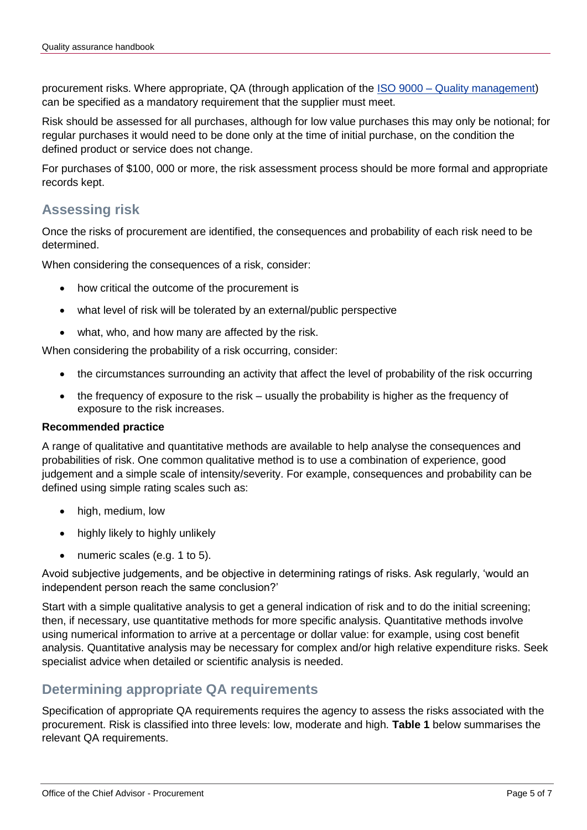procurement risks. Where appropriate, QA (through application of the ISO 9000 – [Quality management\)](http://www.iso.org/iso/home/standards/management-standards/iso_9000.htm) can be specified as a mandatory requirement that the supplier must meet.

Risk should be assessed for all purchases, although for low value purchases this may only be notional; for regular purchases it would need to be done only at the time of initial purchase, on the condition the defined product or service does not change.

For purchases of \$100, 000 or more, the risk assessment process should be more formal and appropriate records kept.

## <span id="page-4-0"></span>**Assessing risk**

Once the risks of procurement are identified, the consequences and probability of each risk need to be determined.

When considering the consequences of a risk, consider:

- how critical the outcome of the procurement is
- what level of risk will be tolerated by an external/public perspective
- what, who, and how many are affected by the risk.

When considering the probability of a risk occurring, consider:

- the circumstances surrounding an activity that affect the level of probability of the risk occurring
- the frequency of exposure to the risk usually the probability is higher as the frequency of exposure to the risk increases.

#### <span id="page-4-1"></span>**Recommended practice**

A range of qualitative and quantitative methods are available to help analyse the consequences and probabilities of risk. One common qualitative method is to use a combination of experience, good judgement and a simple scale of intensity/severity. For example, consequences and probability can be defined using simple rating scales such as:

- high, medium, low
- highly likely to highly unlikely
- numeric scales (e.g. 1 to 5).

Avoid subjective judgements, and be objective in determining ratings of risks. Ask regularly, 'would an independent person reach the same conclusion?'

Start with a simple qualitative analysis to get a general indication of risk and to do the initial screening; then, if necessary, use quantitative methods for more specific analysis. Quantitative methods involve using numerical information to arrive at a percentage or dollar value: for example, using cost benefit analysis. Quantitative analysis may be necessary for complex and/or high relative expenditure risks. Seek specialist advice when detailed or scientific analysis is needed.

### <span id="page-4-2"></span>**Determining appropriate QA requirements**

Specification of appropriate QA requirements requires the agency to assess the risks associated with the procurement. Risk is classified into three levels: low, moderate and high. **Table 1** below summarises the relevant QA requirements.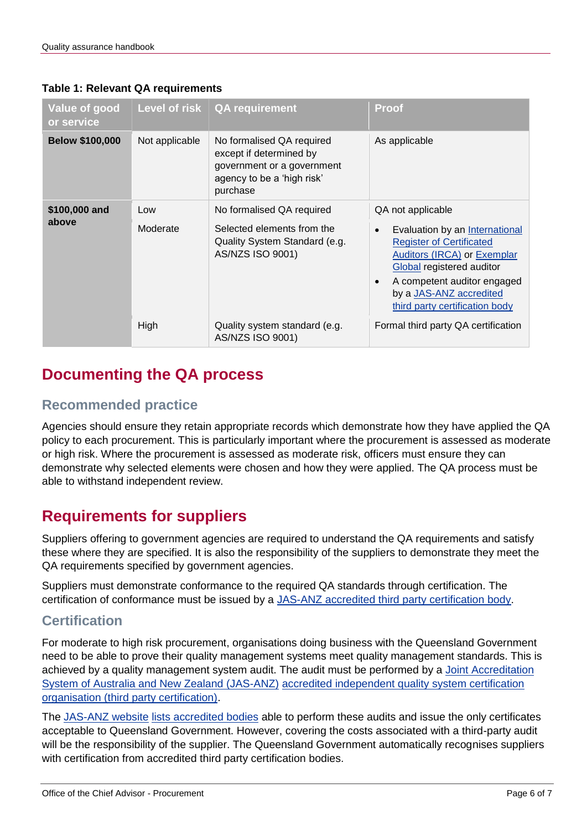| Value of good<br>or service |                | Level of risk $\vert$ QA requirement                                                                                         | Proof                                                                                                                                                                                                                                               |
|-----------------------------|----------------|------------------------------------------------------------------------------------------------------------------------------|-----------------------------------------------------------------------------------------------------------------------------------------------------------------------------------------------------------------------------------------------------|
| <b>Below \$100,000</b>      | Not applicable | No formalised QA required<br>except if determined by<br>government or a government<br>agency to be a 'high risk'<br>purchase | As applicable                                                                                                                                                                                                                                       |
| \$100,000 and<br>above      | Low            | No formalised QA required                                                                                                    | QA not applicable                                                                                                                                                                                                                                   |
|                             | Moderate       | Selected elements from the<br>Quality System Standard (e.g.<br>AS/NZS ISO 9001)                                              | Evaluation by an International<br>$\bullet$<br><b>Register of Certificated</b><br>Auditors (IRCA) or Exemplar<br>Global registered auditor<br>A competent auditor engaged<br>$\bullet$<br>by a JAS-ANZ accredited<br>third party certification body |
|                             | High           | Quality system standard (e.g.<br>AS/NZS ISO 9001)                                                                            | Formal third party QA certification                                                                                                                                                                                                                 |

#### **Table 1: Relevant QA requirements**

# <span id="page-5-0"></span>**Documenting the QA process**

## <span id="page-5-1"></span>**Recommended practice**

Agencies should ensure they retain appropriate records which demonstrate how they have applied the QA policy to each procurement. This is particularly important where the procurement is assessed as moderate or high risk. Where the procurement is assessed as moderate risk, officers must ensure they can demonstrate why selected elements were chosen and how they were applied. The QA process must be able to withstand independent review.

# <span id="page-5-2"></span>**Requirements for suppliers**

Suppliers offering to government agencies are required to understand the QA requirements and satisfy these where they are specified. It is also the responsibility of the suppliers to demonstrate they meet the QA requirements specified by government agencies.

Suppliers must demonstrate conformance to the required QA standards through certification. The certification of conformance must be issued by a [JAS-ANZ accredited third party certification body.](http://www.jas-anz.com.au/index.php?option=com_content&task=blogcategory&id=44)

## <span id="page-5-3"></span>**Certification**

For moderate to high risk procurement, organisations doing business with the Queensland Government need to be able to prove their quality management systems meet quality management standards. This is achieved by a quality management system audit. The audit must be performed by a Joint Accreditation [System of Australia and New Zealand \(JAS-ANZ\)](http://www.jas-anz.com.au/) [accredited independent quality system certification](http://www.jas-anz.com.au/index.php?option=com_content&task=blogcategory&id=44)  [organisation \(third party certification\).](http://www.jas-anz.com.au/index.php?option=com_content&task=blogcategory&id=44)

The [JAS-ANZ website](http://www.jas-anz.com.au/) [lists accredited bodies](http://www.jas-anz.com.au/index.php?option=com_content&task=blogcategory&id=44) able to perform these audits and issue the only certificates acceptable to Queensland Government. However, covering the costs associated with a third-party audit will be the responsibility of the supplier. The Queensland Government automatically recognises suppliers with certification from accredited third party certification bodies.